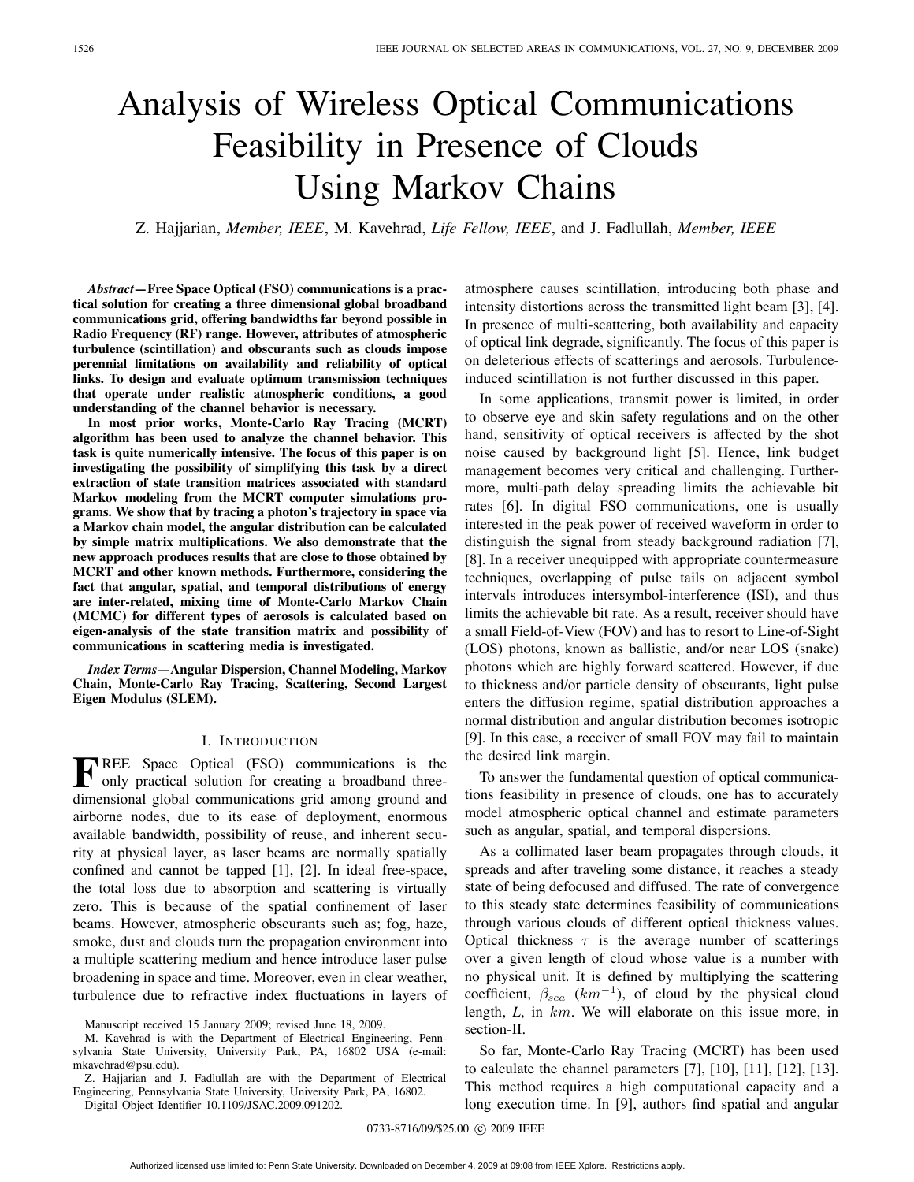# Analysis of Wireless Optical Communications Feasibility in Presence of Clouds Using Markov Chains

Z. Hajjarian, *Member, IEEE*, M. Kavehrad, *Life Fellow, IEEE*, and J. Fadlullah, *Member, IEEE*

*Abstract***—Free Space Optical (FSO) communications is a practical solution for creating a three dimensional global broadband communications grid, offering bandwidths far beyond possible in Radio Frequency (RF) range. However, attributes of atmospheric turbulence (scintillation) and obscurants such as clouds impose perennial limitations on availability and reliability of optical links. To design and evaluate optimum transmission techniques that operate under realistic atmospheric conditions, a good understanding of the channel behavior is necessary.**

**In most prior works, Monte-Carlo Ray Tracing (MCRT) algorithm has been used to analyze the channel behavior. This task is quite numerically intensive. The focus of this paper is on investigating the possibility of simplifying this task by a direct extraction of state transition matrices associated with standard Markov modeling from the MCRT computer simulations programs. We show that by tracing a photon's trajectory in space via a Markov chain model, the angular distribution can be calculated by simple matrix multiplications. We also demonstrate that the new approach produces results that are close to those obtained by MCRT and other known methods. Furthermore, considering the fact that angular, spatial, and temporal distributions of energy are inter-related, mixing time of Monte-Carlo Markov Chain (MCMC) for different types of aerosols is calculated based on eigen-analysis of the state transition matrix and possibility of communications in scattering media is investigated.**

*Index Terms***—Angular Dispersion, Channel Modeling, Markov Chain, Monte-Carlo Ray Tracing, Scattering, Second Largest Eigen Modulus (SLEM).**

## I. INTRODUCTION

**F**REE Space Optical (FSO) communications is the only practical solution for creating a broadband threedimensional global communications grid among ground and airborne nodes, due to its ease of deployment, enormous available bandwidth, possibility of reuse, and inherent security at physical layer, as laser beams are normally spatially confined and cannot be tapped [1], [2]. In ideal free-space, the total loss due to absorption and scattering is virtually zero. This is because of the spatial confinement of laser beams. However, atmospheric obscurants such as; fog, haze, smoke, dust and clouds turn the propagation environment into a multiple scattering medium and hence introduce laser pulse broadening in space and time. Moreover, even in clear weather, turbulence due to refractive index fluctuations in layers of

Digital Object Identifier 10.1109/JSAC.2009.091202.

atmosphere causes scintillation, introducing both phase and intensity distortions across the transmitted light beam [3], [4]. In presence of multi-scattering, both availability and capacity of optical link degrade, significantly. The focus of this paper is on deleterious effects of scatterings and aerosols. Turbulenceinduced scintillation is not further discussed in this paper.

In some applications, transmit power is limited, in order to observe eye and skin safety regulations and on the other hand, sensitivity of optical receivers is affected by the shot noise caused by background light [5]. Hence, link budget management becomes very critical and challenging. Furthermore, multi-path delay spreading limits the achievable bit rates [6]. In digital FSO communications, one is usually interested in the peak power of received waveform in order to distinguish the signal from steady background radiation [7], [8]. In a receiver unequipped with appropriate countermeasure techniques, overlapping of pulse tails on adjacent symbol intervals introduces intersymbol-interference (ISI), and thus limits the achievable bit rate. As a result, receiver should have a small Field-of-View (FOV) and has to resort to Line-of-Sight (LOS) photons, known as ballistic, and/or near LOS (snake) photons which are highly forward scattered. However, if due to thickness and/or particle density of obscurants, light pulse enters the diffusion regime, spatial distribution approaches a normal distribution and angular distribution becomes isotropic [9]. In this case, a receiver of small FOV may fail to maintain the desired link margin.

To answer the fundamental question of optical communications feasibility in presence of clouds, one has to accurately model atmospheric optical channel and estimate parameters such as angular, spatial, and temporal dispersions.

As a collimated laser beam propagates through clouds, it spreads and after traveling some distance, it reaches a steady state of being defocused and diffused. The rate of convergence to this steady state determines feasibility of communications through various clouds of different optical thickness values. Optical thickness  $\tau$  is the average number of scatterings over a given length of cloud whose value is a number with no physical unit. It is defined by multiplying the scattering coefficient,  $\beta_{sca}$  (km<sup>-1</sup>), of cloud by the physical cloud length, *L*, in km. We will elaborate on this issue more, in section-II.

So far, Monte-Carlo Ray Tracing (MCRT) has been used to calculate the channel parameters [7], [10], [11], [12], [13]. This method requires a high computational capacity and a long execution time. In [9], authors find spatial and angular

Manuscript received 15 January 2009; revised June 18, 2009.

M. Kavehrad is with the Department of Electrical Engineering, Pennsylvania State University, University Park, PA, 16802 USA (e-mail: mkavehrad@psu.edu).

Z. Hajjarian and J. Fadlullah are with the Department of Electrical Engineering, Pennsylvania State University, University Park, PA, 16802.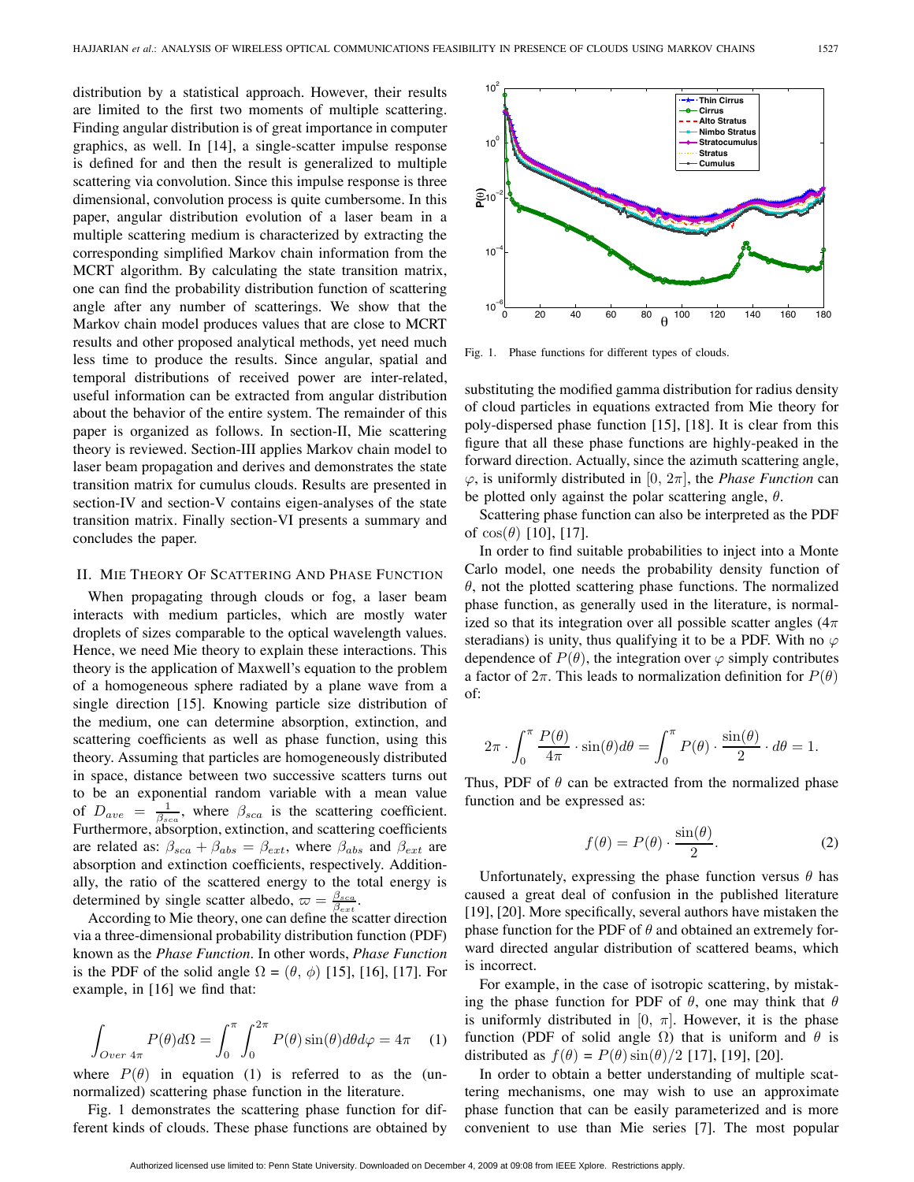distribution by a statistical approach. However, their results are limited to the first two moments of multiple scattering. Finding angular distribution is of great importance in computer graphics, as well. In [14], a single-scatter impulse response is defined for and then the result is generalized to multiple scattering via convolution. Since this impulse response is three dimensional, convolution process is quite cumbersome. In this paper, angular distribution evolution of a laser beam in a multiple scattering medium is characterized by extracting the corresponding simplified Markov chain information from the MCRT algorithm. By calculating the state transition matrix, one can find the probability distribution function of scattering angle after any number of scatterings. We show that the Markov chain model produces values that are close to MCRT results and other proposed analytical methods, yet need much less time to produce the results. Since angular, spatial and temporal distributions of received power are inter-related, useful information can be extracted from angular distribution about the behavior of the entire system. The remainder of this paper is organized as follows. In section-II, Mie scattering theory is reviewed. Section-III applies Markov chain model to laser beam propagation and derives and demonstrates the state transition matrix for cumulus clouds. Results are presented in section-IV and section-V contains eigen-analyses of the state transition matrix. Finally section-VI presents a summary and concludes the paper.

#### II. MIE THEORY OF SCATTERING AND PHASE FUNCTION

When propagating through clouds or fog, a laser beam interacts with medium particles, which are mostly water droplets of sizes comparable to the optical wavelength values. Hence, we need Mie theory to explain these interactions. This theory is the application of Maxwell's equation to the problem of a homogeneous sphere radiated by a plane wave from a single direction [15]. Knowing particle size distribution of the medium, one can determine absorption, extinction, and scattering coefficients as well as phase function, using this theory. Assuming that particles are homogeneously distributed in space, distance between two successive scatters turns out to be an exponential random variable with a mean value of  $D_{ave} = \frac{1}{\beta_{sca}}$ , where  $\beta_{sca}$  is the scattering coefficient.<br>Furthermore absorption extinction and scattering coefficients Furthermore, absorption, extinction, and scattering coefficients are related as:  $\beta_{sca} + \beta_{abs} = \beta_{ext}$ , where  $\beta_{abs}$  and  $\beta_{ext}$  are absorption and extinction coefficients, respectively. Additionally, the ratio of the scattered energy to the total energy is determined by single scatter albedo,  $\varpi = \frac{\beta_{sea}}{\beta_{ext}}$ .

According to Mie theory, one can define the scatter direction via a three-dimensional probability distribution function (PDF) known as the *Phase Function*. In other words, *Phase Function* is the PDF of the solid angle  $\Omega = (\theta, \phi)$  [15], [16], [17]. For example, in [16] we find that:

$$
\int_{\text{Over }4\pi} P(\theta) d\Omega = \int_0^{\pi} \int_0^{2\pi} P(\theta) \sin(\theta) d\theta d\varphi = 4\pi \quad (1)
$$

where  $P(\theta)$  in equation (1) is referred to as the (unnormalized) scattering phase function in the literature.

Fig. 1 demonstrates the scattering phase function for different kinds of clouds. These phase functions are obtained by



Fig. 1. Phase functions for different types of clouds.

substituting the modified gamma distribution for radius density of cloud particles in equations extracted from Mie theory for poly-dispersed phase function [15], [18]. It is clear from this figure that all these phase functions are highly-peaked in the forward direction. Actually, since the azimuth scattering angle,  $\varphi$ , is uniformly distributed in [0,  $2\pi$ ], the *Phase Function* can be plotted only against the polar scattering angle,  $\theta$ .

Scattering phase function can also be interpreted as the PDF of  $cos(\theta)$  [10], [17].

In order to find suitable probabilities to inject into a Monte Carlo model, one needs the probability density function of  $\theta$ , not the plotted scattering phase functions. The normalized phase function, as generally used in the literature, is normalized so that its integration over all possible scatter angles  $(4\pi)$ steradians) is unity, thus qualifying it to be a PDF. With no  $\varphi$ dependence of  $P(\theta)$ , the integration over  $\varphi$  simply contributes a factor of  $2\pi$ . This leads to normalization definition for  $P(\theta)$ of:

$$
2\pi \cdot \int_0^{\pi} \frac{P(\theta)}{4\pi} \cdot \sin(\theta) d\theta = \int_0^{\pi} P(\theta) \cdot \frac{\sin(\theta)}{2} \cdot d\theta = 1.
$$

Thus, PDF of  $\theta$  can be extracted from the normalized phase function and be expressed as:

$$
f(\theta) = P(\theta) \cdot \frac{\sin(\theta)}{2}.
$$
 (2)

Unfortunately, expressing the phase function versus  $\theta$  has caused a great deal of confusion in the published literature [19], [20]. More specifically, several authors have mistaken the phase function for the PDF of  $\theta$  and obtained an extremely forward directed angular distribution of scattered beams, which is incorrect.

For example, in the case of isotropic scattering, by mistaking the phase function for PDF of  $\theta$ , one may think that  $\theta$ is uniformly distributed in [0,  $\pi$ ]. However, it is the phase function (PDF of solid angle  $\Omega$ ) that is uniform and  $\theta$  is distributed as  $f(\theta) = P(\theta) \sin(\theta)/2$  [17], [19], [20].

In order to obtain a better understanding of multiple scattering mechanisms, one may wish to use an approximate phase function that can be easily parameterized and is more convenient to use than Mie series [7]. The most popular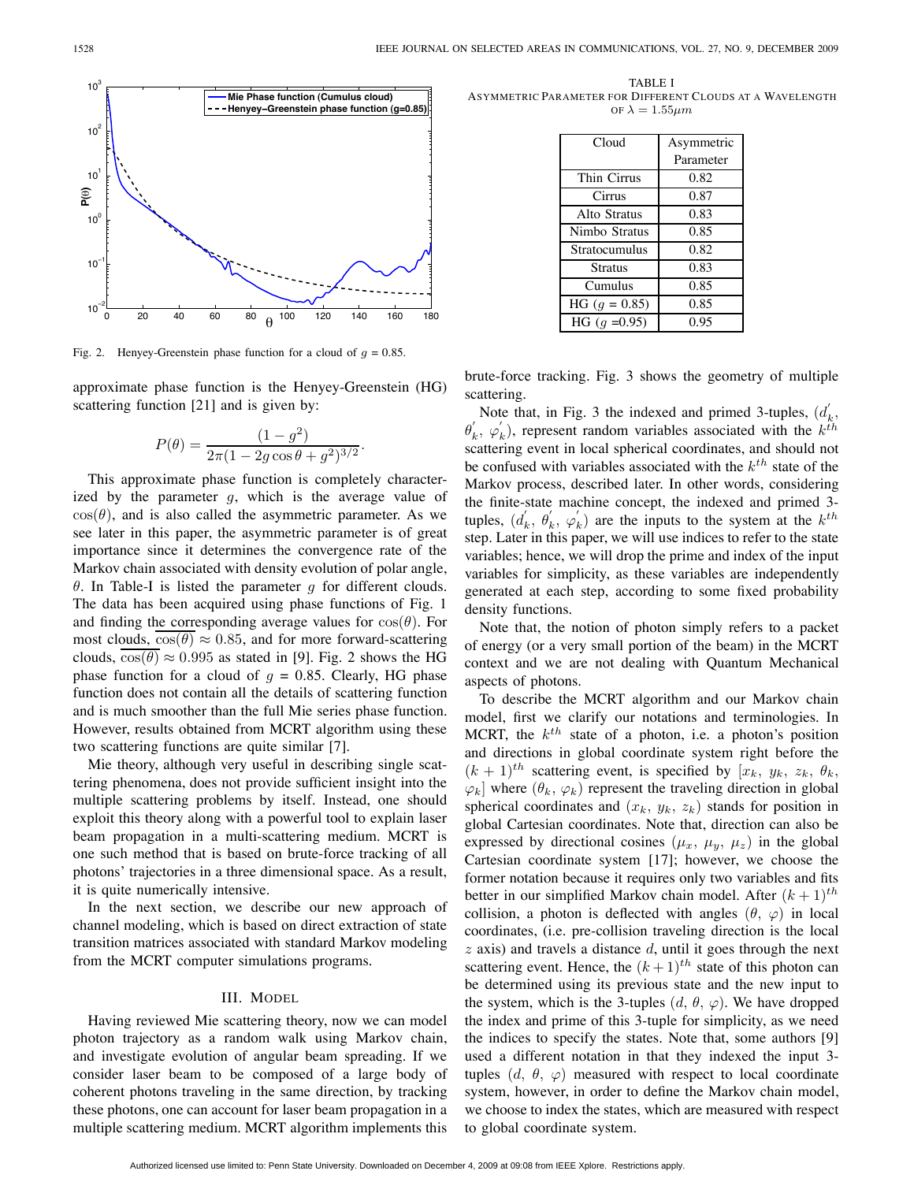

Fig. 2. Henyey-Greenstein phase function for a cloud of  $q = 0.85$ .

approximate phase function is the Henyey-Greenstein (HG) scattering function [21] and is given by:

$$
P(\theta) = \frac{(1 - g^2)}{2\pi (1 - 2g\cos\theta + g^2)^{3/2}}.
$$

This approximate phase function is completely characterized by the parameter  $g$ , which is the average value of  $cos(\theta)$ , and is also called the asymmetric parameter. As we see later in this paper, the asymmetric parameter is of great importance since it determines the convergence rate of the Markov chain associated with density evolution of polar angle,  $θ$ . In Table-I is listed the parameter *q* for different clouds. The data has been acquired using phase functions of Fig. 1 and finding the corresponding average values for  $cos(\theta)$ . For most clouds,  $\overline{\cos(\theta)} \approx 0.85$ , and for more forward-scattering clouds,  $\overline{\cos(\theta)} \approx 0.995$  as stated in [9]. Fig. 2 shows the HG phase function for a cloud of  $q = 0.85$ . Clearly, HG phase function does not contain all the details of scattering function and is much smoother than the full Mie series phase function. However, results obtained from MCRT algorithm using these two scattering functions are quite similar [7].

Mie theory, although very useful in describing single scattering phenomena, does not provide sufficient insight into the multiple scattering problems by itself. Instead, one should exploit this theory along with a powerful tool to explain laser beam propagation in a multi-scattering medium. MCRT is one such method that is based on brute-force tracking of all photons' trajectories in a three dimensional space. As a result, it is quite numerically intensive.

In the next section, we describe our new approach of channel modeling, which is based on direct extraction of state transition matrices associated with standard Markov modeling from the MCRT computer simulations programs.

#### III. MODEL

Having reviewed Mie scattering theory, now we can model photon trajectory as a random walk using Markov chain, and investigate evolution of angular beam spreading. If we consider laser beam to be composed of a large body of coherent photons traveling in the same direction, by tracking these photons, one can account for laser beam propagation in a multiple scattering medium. MCRT algorithm implements this

TABLE I ASYMMETRIC PARAMETER FOR DIFFERENT CLOUDS AT A WAVELENGTH OF  $\lambda = 1.55 \mu m$ 

| Asymmetric |  |  |
|------------|--|--|
| Parameter  |  |  |
| 0.82       |  |  |
| 0.87       |  |  |
| 0.83       |  |  |
| 0.85       |  |  |
| 0.82       |  |  |
| 0.83       |  |  |
| 0.85       |  |  |
| 0.85       |  |  |
| 0.95       |  |  |
|            |  |  |

brute-force tracking. Fig. 3 shows the geometry of multiple scattering.

Note that, in Fig. 3 the indexed and primed 3-tuples,  $(d'_k, d'_k)$  represent random variables associated with the  $k^{th}$  $\theta'_k$ ,  $\varphi'_k$ ), represent random variables associated with the  $k^{th}$ <br>scattering event in local spherical coordinates, and should not scattering event in local spherical coordinates, and should not be confused with variables associated with the  $k<sup>th</sup>$  state of the Markov process, described later. In other words, considering the finite-state machine concept, the indexed and primed 3 tuples,  $(d'_k, \theta'_k, \varphi'_k)$  are the inputs to the system at the  $k^{th}$ <br>step. I ater in this paper, we will use indices to refer to the state step. Later in this paper, we will use indices to refer to the state variables; hence, we will drop the prime and index of the input variables for simplicity, as these variables are independently generated at each step, according to some fixed probability density functions.

Note that, the notion of photon simply refers to a packet of energy (or a very small portion of the beam) in the MCRT context and we are not dealing with Quantum Mechanical aspects of photons.

To describe the MCRT algorithm and our Markov chain model, first we clarify our notations and terminologies. In MCRT, the  $k^{th}$  state of a photon, i.e. a photon's position and directions in global coordinate system right before the  $(k + 1)^{th}$  scattering event, is specified by  $[x_k, y_k, z_k, \theta_k,$  $\varphi_k$  where  $(\theta_k, \varphi_k)$  represent the traveling direction in global spherical coordinates and  $(x_k, y_k, z_k)$  stands for position in global Cartesian coordinates. Note that, direction can also be expressed by directional cosines  $(\mu_x, \mu_y, \mu_z)$  in the global Cartesian coordinate system [17]; however, we choose the former notation because it requires only two variables and fits better in our simplified Markov chain model. After  $(k + 1)$ <sup>th</sup> collision, a photon is deflected with angles  $(\theta, \varphi)$  in local coordinates, (i.e. pre-collision traveling direction is the local  $z$  axis) and travels a distance  $d$ , until it goes through the next scattering event. Hence, the  $(k+1)$ <sup>th</sup> state of this photon can be determined using its previous state and the new input to the system, which is the 3-tuples  $(d, \theta, \varphi)$ . We have dropped the index and prime of this 3-tuple for simplicity, as we need the indices to specify the states. Note that, some authors [9] used a different notation in that they indexed the input 3 tuples  $(d, \theta, \varphi)$  measured with respect to local coordinate system, however, in order to define the Markov chain model, we choose to index the states, which are measured with respect to global coordinate system.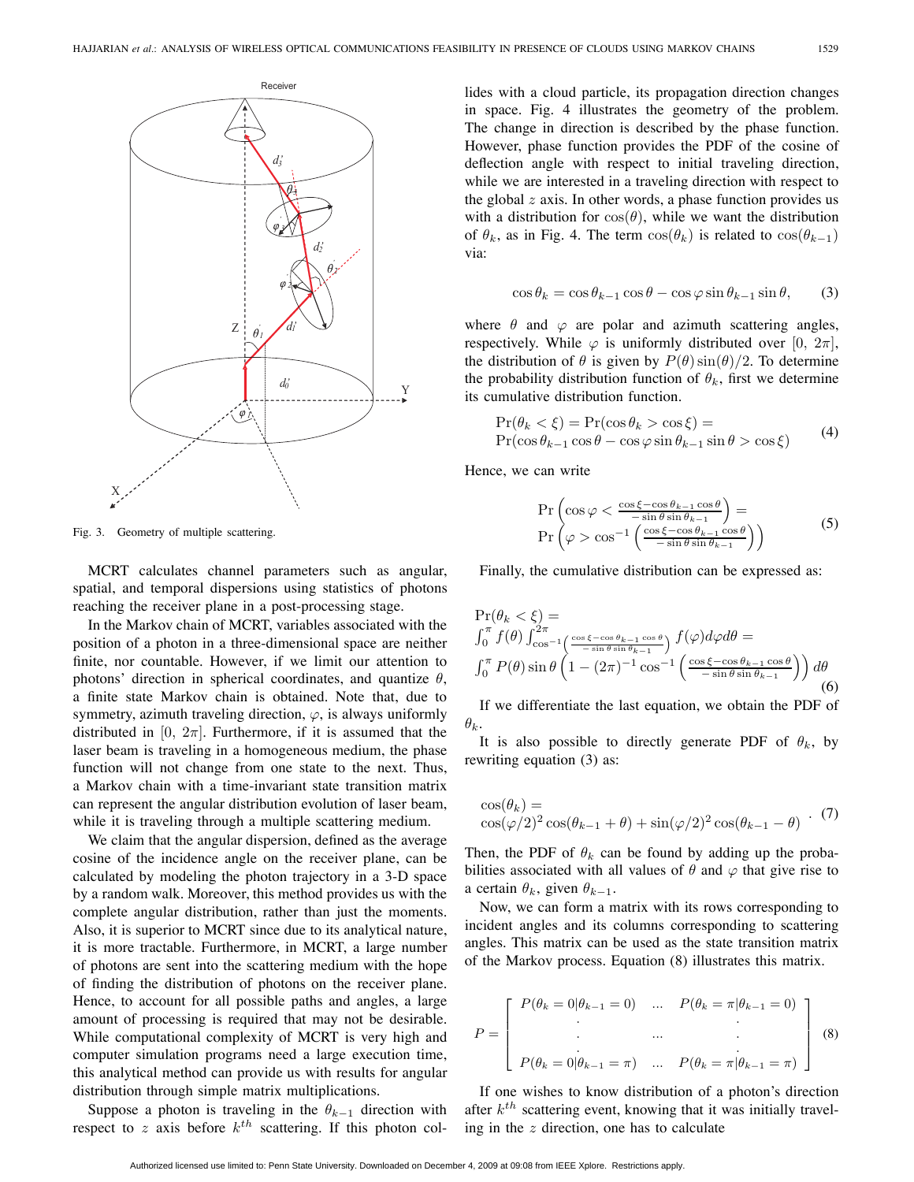

Fig. 3. Geometry of multiple scattering.

MCRT calculates channel parameters such as angular, spatial, and temporal dispersions using statistics of photons reaching the receiver plane in a post-processing stage.

In the Markov chain of MCRT, variables associated with the position of a photon in a three-dimensional space are neither finite, nor countable. However, if we limit our attention to photons' direction in spherical coordinates, and quantize  $\theta$ , a finite state Markov chain is obtained. Note that, due to symmetry, azimuth traveling direction,  $\varphi$ , is always uniformly distributed in [0,  $2\pi$ ]. Furthermore, if it is assumed that the laser beam is traveling in a homogeneous medium, the phase function will not change from one state to the next. Thus, a Markov chain with a time-invariant state transition matrix can represent the angular distribution evolution of laser beam, while it is traveling through a multiple scattering medium.

We claim that the angular dispersion, defined as the average cosine of the incidence angle on the receiver plane, can be calculated by modeling the photon trajectory in a 3-D space by a random walk. Moreover, this method provides us with the complete angular distribution, rather than just the moments. Also, it is superior to MCRT since due to its analytical nature, it is more tractable. Furthermore, in MCRT, a large number of photons are sent into the scattering medium with the hope of finding the distribution of photons on the receiver plane. Hence, to account for all possible paths and angles, a large amount of processing is required that may not be desirable. While computational complexity of MCRT is very high and computer simulation programs need a large execution time, this analytical method can provide us with results for angular distribution through simple matrix multiplications.

Suppose a photon is traveling in the  $\theta_{k-1}$  direction with respect to z axis before  $k^{th}$  scattering. If this photon col-

lides with a cloud particle, its propagation direction changes in space. Fig. 4 illustrates the geometry of the problem. The change in direction is described by the phase function. However, phase function provides the PDF of the cosine of deflection angle with respect to initial traveling direction, while we are interested in a traveling direction with respect to the global  $z$  axis. In other words, a phase function provides us with a distribution for  $cos(\theta)$ , while we want the distribution of  $\theta_k$ , as in Fig. 4. The term  $\cos(\theta_k)$  is related to  $\cos(\theta_{k-1})$ via:

$$
\cos \theta_k = \cos \theta_{k-1} \cos \theta - \cos \varphi \sin \theta_{k-1} \sin \theta, \qquad (3)
$$

where  $\theta$  and  $\varphi$  are polar and azimuth scattering angles, respectively. While  $\varphi$  is uniformly distributed over [0,  $2\pi$ ], the distribution of  $\theta$  is given by  $P(\theta) \sin(\theta)/2$ . To determine the probability distribution function of  $\theta_k$ , first we determine its cumulative distribution function.

$$
\Pr(\theta_k < \xi) = \Pr(\cos \theta_k > \cos \xi) = \\
\Pr(\cos \theta_{k-1} \cos \theta - \cos \varphi \sin \theta_{k-1} \sin \theta > \cos \xi) \tag{4}
$$

Hence, we can write

$$
\Pr\left(\cos\varphi < \frac{\cos\xi - \cos\theta_{k-1}\cos\theta}{-\sin\theta\sin\theta_{k-1}}\right) = \\
\Pr\left(\varphi > \cos^{-1}\left(\frac{\cos\xi - \cos\theta_{k-1}\cos\theta}{-\sin\theta\sin\theta_{k-1}}\right)\right) \tag{5}
$$

Finally, the cumulative distribution can be expressed as:

$$
\Pr(\theta_k < \xi) =
$$
\n
$$
\int_0^\pi f(\theta) \int_{\cos^{-1}\left(\frac{\cos \xi - \cos \theta_{k-1} \cos \theta}{-\sin \theta \sin \theta_{k-1}}\right)}^{\pi} f(\varphi) d\varphi d\theta =
$$
\n
$$
\int_0^\pi P(\theta) \sin \theta \left(1 - (2\pi)^{-1} \cos^{-1}\left(\frac{\cos \xi - \cos \theta_{k-1} \cos \theta}{-\sin \theta \sin \theta_{k-1}}\right)\right) d\theta \tag{6}
$$

If we differentiate the last equation, we obtain the PDF of  $\theta_k$ .

It is also possible to directly generate PDF of  $\theta_k$ , by rewriting equation (3) as:

$$
\cos(\theta_k) = \cos(\varphi/2)^2 \cos(\theta_{k-1} + \theta) + \sin(\varphi/2)^2 \cos(\theta_{k-1} - \theta)
$$
 (7)

Then, the PDF of  $\theta_k$  can be found by adding up the probabilities associated with all values of  $\theta$  and  $\varphi$  that give rise to a certain  $\theta_k$ , given  $\theta_{k-1}$ .

Now, we can form a matrix with its rows corresponding to incident angles and its columns corresponding to scattering angles. This matrix can be used as the state transition matrix of the Markov process. Equation (8) illustrates this matrix.

$$
P = \begin{bmatrix} P(\theta_k = 0 | \theta_{k-1} = 0) & \dots & P(\theta_k = \pi | \theta_{k-1} = 0) \\ \vdots & \dots & \vdots \\ P(\theta_k = 0 | \theta_{k-1} = \pi) & \dots & P(\theta_k = \pi | \theta_{k-1} = \pi) \end{bmatrix}
$$
(8)

If one wishes to know distribution of a photon's direction after  $k^{th}$  scattering event, knowing that it was initially traveling in the  $z$  direction, one has to calculate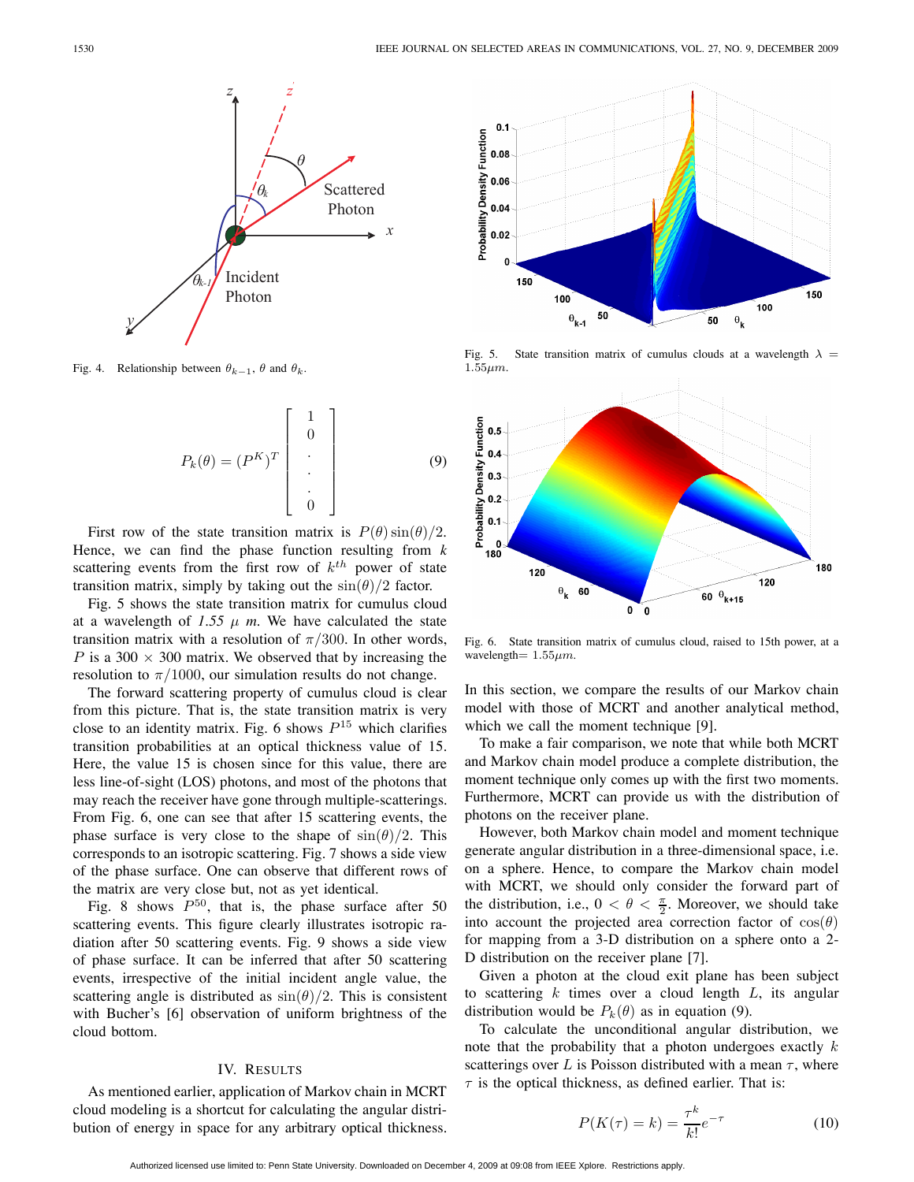

Fig. 4. Relationship between  $\theta_{k-1}$ ,  $\theta$  and  $\theta_k$ .

$$
P_k(\theta) = (P^K)^T \begin{bmatrix} 1 \\ 0 \\ \vdots \\ 0 \end{bmatrix}
$$
 (9)

First row of the state transition matrix is  $P(\theta) \sin(\theta)/2$ . Hence, we can find the phase function resulting from *k* scattering events from the first row of  $k^{th}$  power of state transition matrix, simply by taking out the  $\sin(\theta)/2$  factor.

Fig. 5 shows the state transition matrix for cumulus cloud at a wavelength of  $1.55 \mu$  *m*. We have calculated the state transition matrix with a resolution of  $\pi/300$ . In other words, P is a 300  $\times$  300 matrix. We observed that by increasing the resolution to  $\pi/1000$ , our simulation results do not change.

The forward scattering property of cumulus cloud is clear from this picture. That is, the state transition matrix is very close to an identity matrix. Fig. 6 shows  $P^{15}$  which clarifies transition probabilities at an optical thickness value of 15. Here, the value 15 is chosen since for this value, there are less line-of-sight (LOS) photons, and most of the photons that may reach the receiver have gone through multiple-scatterings. From Fig. 6, one can see that after 15 scattering events, the phase surface is very close to the shape of  $\sin(\theta)/2$ . This corresponds to an isotropic scattering. Fig. 7 shows a side view of the phase surface. One can observe that different rows of the matrix are very close but, not as yet identical.

Fig. 8 shows  $P^{50}$ , that is, the phase surface after 50 scattering events. This figure clearly illustrates isotropic radiation after 50 scattering events. Fig. 9 shows a side view of phase surface. It can be inferred that after 50 scattering events, irrespective of the initial incident angle value, the scattering angle is distributed as  $\sin(\theta)/2$ . This is consistent with Bucher's [6] observation of uniform brightness of the cloud bottom.

## IV. RESULTS

As mentioned earlier, application of Markov chain in MCRT cloud modeling is a shortcut for calculating the angular distribution of energy in space for any arbitrary optical thickness.



Fig. 5. State transition matrix of cumulus clouds at a wavelength  $\lambda =$  $1.55 \mu m$ .



Fig. 6. State transition matrix of cumulus cloud, raised to 15th power, at a wavelength=  $1.55 \mu m$ .

In this section, we compare the results of our Markov chain model with those of MCRT and another analytical method, which we call the moment technique [9].

To make a fair comparison, we note that while both MCRT and Markov chain model produce a complete distribution, the moment technique only comes up with the first two moments. Furthermore, MCRT can provide us with the distribution of photons on the receiver plane.

However, both Markov chain model and moment technique generate angular distribution in a three-dimensional space, i.e. on a sphere. Hence, to compare the Markov chain model with MCRT, we should only consider the forward part of the distribution, i.e.,  $0 < \theta < \frac{\pi}{2}$ . Moreover, we should take into account the projected area correction factor of  $cos(\theta)$ for mapping from a 3-D distribution on a sphere onto a 2- D distribution on the receiver plane [7].

Given a photon at the cloud exit plane has been subject to scattering  $k$  times over a cloud length  $L$ , its angular distribution would be  $P_k(\theta)$  as in equation (9).

To calculate the unconditional angular distribution, we note that the probability that a photon undergoes exactly  $k$ scatterings over L is Poisson distributed with a mean  $\tau$ , where  $\tau$  is the optical thickness, as defined earlier. That is:

$$
P(K(\tau) = k) = \frac{\tau^k}{k!} e^{-\tau}
$$
 (10)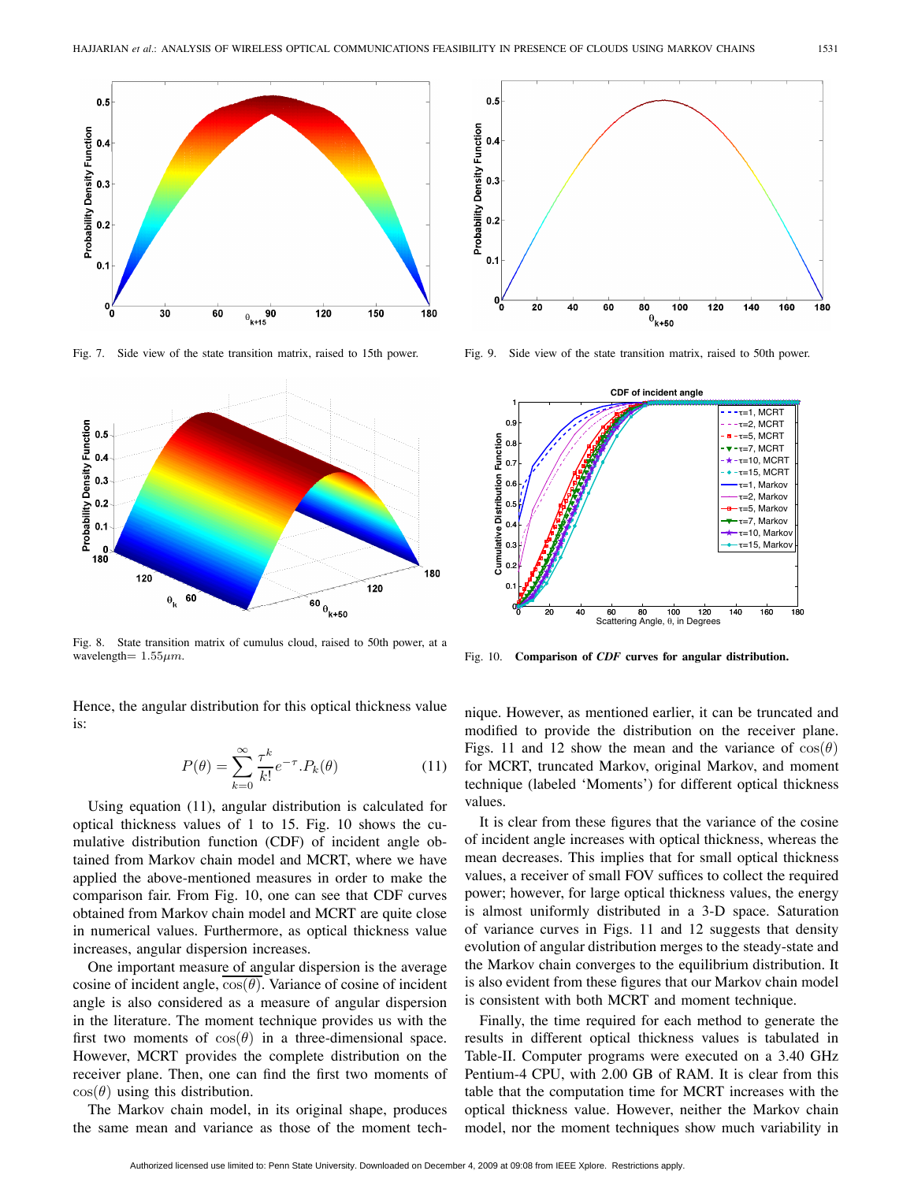

Fig. 7. Side view of the state transition matrix, raised to 15th power.



Fig. 8. State transition matrix of cumulus cloud, raised to 50th power, at a wavelength=  $1.55 \mu m$ .

Hence, the angular distribution for this optical thickness value is:

$$
P(\theta) = \sum_{k=0}^{\infty} \frac{\tau^k}{k!} e^{-\tau} P_k(\theta)
$$
 (11)

Using equation (11), angular distribution is calculated for optical thickness values of 1 to 15. Fig. 10 shows the cumulative distribution function (CDF) of incident angle obtained from Markov chain model and MCRT, where we have applied the above-mentioned measures in order to make the comparison fair. From Fig. 10, one can see that CDF curves obtained from Markov chain model and MCRT are quite close in numerical values. Furthermore, as optical thickness value increases, angular dispersion increases.

One important measure of angular dispersion is the average cosine of incident angle,  $cos(\theta)$ . Variance of cosine of incident angle is also considered as a measure of angular dispersion in the literature. The moment technique provides us with the first two moments of  $cos(\theta)$  in a three-dimensional space. However, MCRT provides the complete distribution on the receiver plane. Then, one can find the first two moments of  $cos(\theta)$  using this distribution.

The Markov chain model, in its original shape, produces the same mean and variance as those of the moment tech-



Fig. 9. Side view of the state transition matrix, raised to 50th power.



Fig. 10. **Comparison of** *CDF* **curves for angular distribution.**

nique. However, as mentioned earlier, it can be truncated and modified to provide the distribution on the receiver plane. Figs. 11 and 12 show the mean and the variance of  $cos(\theta)$ for MCRT, truncated Markov, original Markov, and moment technique (labeled 'Moments') for different optical thickness values.

It is clear from these figures that the variance of the cosine of incident angle increases with optical thickness, whereas the mean decreases. This implies that for small optical thickness values, a receiver of small FOV suffices to collect the required power; however, for large optical thickness values, the energy is almost uniformly distributed in a 3-D space. Saturation of variance curves in Figs. 11 and 12 suggests that density evolution of angular distribution merges to the steady-state and the Markov chain converges to the equilibrium distribution. It is also evident from these figures that our Markov chain model is consistent with both MCRT and moment technique.

Finally, the time required for each method to generate the results in different optical thickness values is tabulated in Table-II. Computer programs were executed on a 3.40 GHz Pentium-4 CPU, with 2.00 GB of RAM. It is clear from this table that the computation time for MCRT increases with the optical thickness value. However, neither the Markov chain model, nor the moment techniques show much variability in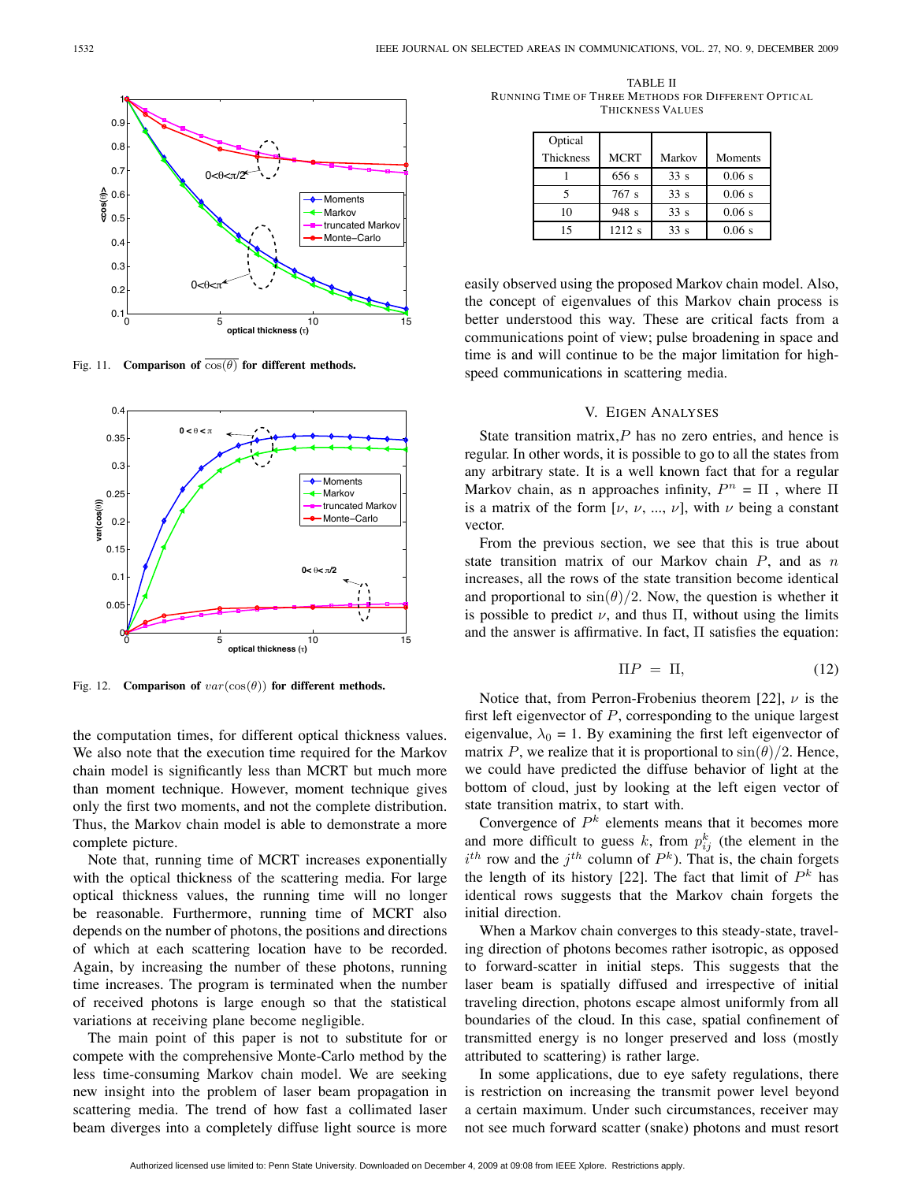

Fig. 11. **Comparison of**  $\overline{\cos(\theta)}$  for different methods.



Fig. 12. **Comparison of**  $var(cos(\theta))$  for different methods.

the computation times, for different optical thickness values. We also note that the execution time required for the Markov chain model is significantly less than MCRT but much more than moment technique. However, moment technique gives only the first two moments, and not the complete distribution. Thus, the Markov chain model is able to demonstrate a more complete picture.

Note that, running time of MCRT increases exponentially with the optical thickness of the scattering media. For large optical thickness values, the running time will no longer be reasonable. Furthermore, running time of MCRT also depends on the number of photons, the positions and directions of which at each scattering location have to be recorded. Again, by increasing the number of these photons, running time increases. The program is terminated when the number of received photons is large enough so that the statistical variations at receiving plane become negligible.

The main point of this paper is not to substitute for or compete with the comprehensive Monte-Carlo method by the less time-consuming Markov chain model. We are seeking new insight into the problem of laser beam propagation in scattering media. The trend of how fast a collimated laser beam diverges into a completely diffuse light source is more

TABLE II RUNNING TIME OF THREE METHODS FOR DIFFERENT OPTICAL THICKNESS VALUES

| Optical   |             |                 |         |
|-----------|-------------|-----------------|---------|
| Thickness | <b>MCRT</b> | Markov          | Moments |
|           | 656 s       | 33 s            | 0.06 s  |
|           | $767$ s     | 33 s            | 0.06 s  |
| 10        | 948 s       | 33 <sub>s</sub> | 0.06 s  |
| 15        | 1212s       | 33 <sub>s</sub> | 0.06 s  |

easily observed using the proposed Markov chain model. Also, the concept of eigenvalues of this Markov chain process is better understood this way. These are critical facts from a communications point of view; pulse broadening in space and time is and will continue to be the major limitation for highspeed communications in scattering media.

# V. EIGEN ANALYSES

State transition matrix, $P$  has no zero entries, and hence is regular. In other words, it is possible to go to all the states from any arbitrary state. It is a well known fact that for a regular Markov chain, as n approaches infinity,  $P^n = \Pi$ , where  $\Pi$ is a matrix of the form  $[\nu, \nu, ..., \nu]$ , with  $\nu$  being a constant vector.

From the previous section, we see that this is true about state transition matrix of our Markov chain  $P$ , and as  $n$ increases, all the rows of the state transition become identical and proportional to  $\sin(\theta)/2$ . Now, the question is whether it is possible to predict  $\nu$ , and thus  $\Pi$ , without using the limits and the answer is affirmative. In fact, Π satisfies the equation:

$$
\Pi P = \Pi,\tag{12}
$$

Notice that, from Perron-Frobenius theorem [22],  $\nu$  is the first left eigenvector of  $P$ , corresponding to the unique largest eigenvalue,  $\lambda_0 = 1$ . By examining the first left eigenvector of matrix P, we realize that it is proportional to  $\sin(\theta)/2$ . Hence, we could have predicted the diffuse behavior of light at the bottom of cloud, just by looking at the left eigen vector of state transition matrix, to start with.

Convergence of  $P^k$  elements means that it becomes more and more difficult to guess k, from  $p_{ij}^k$  (the element in the  $i^{th}$  row and the  $j^{th}$  column of  $P^k$ ). That is, the chain forgets the length of its history [22]. The fact that limit of  $P^k$  has identical rows suggests that the Markov chain forgets the initial direction.

When a Markov chain converges to this steady-state, traveling direction of photons becomes rather isotropic, as opposed to forward-scatter in initial steps. This suggests that the laser beam is spatially diffused and irrespective of initial traveling direction, photons escape almost uniformly from all boundaries of the cloud. In this case, spatial confinement of transmitted energy is no longer preserved and loss (mostly attributed to scattering) is rather large.

In some applications, due to eye safety regulations, there is restriction on increasing the transmit power level beyond a certain maximum. Under such circumstances, receiver may not see much forward scatter (snake) photons and must resort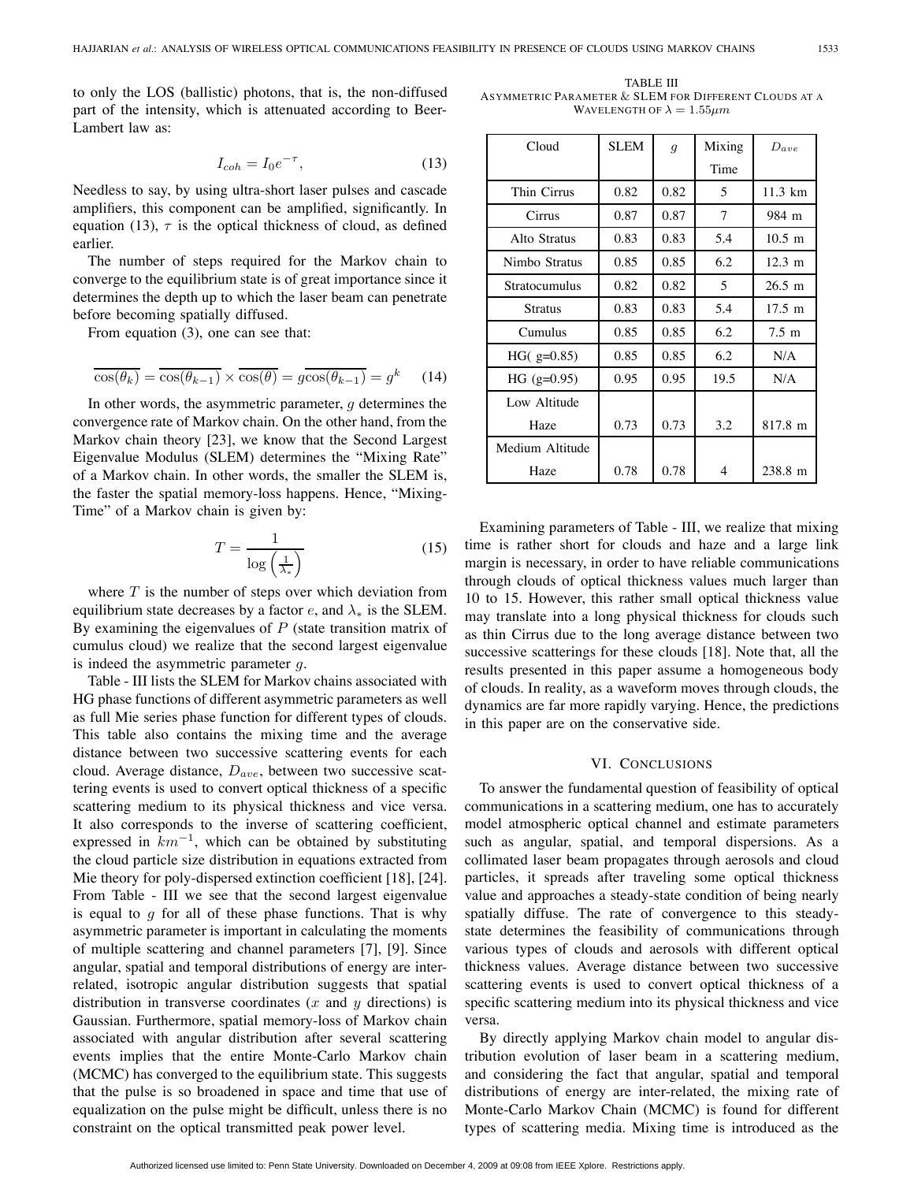to only the LOS (ballistic) photons, that is, the non-diffused part of the intensity, which is attenuated according to Beer-Lambert law as:

$$
I_{coh} = I_0 e^{-\tau},\tag{13}
$$

Needless to say, by using ultra-short laser pulses and cascade amplifiers, this component can be amplified, significantly. In equation (13),  $\tau$  is the optical thickness of cloud, as defined earlier.

The number of steps required for the Markov chain to converge to the equilibrium state is of great importance since it determines the depth up to which the laser beam can penetrate before becoming spatially diffused.

From equation (3), one can see that:

$$
\overline{\cos(\theta_k)} = \overline{\cos(\theta_{k-1})} \times \overline{\cos(\theta)} = g\overline{\cos(\theta_{k-1})} = g^k \quad (14)
$$

In other words, the asymmetric parameter,  $g$  determines the convergence rate of Markov chain. On the other hand, from the Markov chain theory [23], we know that the Second Largest Eigenvalue Modulus (SLEM) determines the "Mixing Rate" of a Markov chain. In other words, the smaller the SLEM is, the faster the spatial memory-loss happens. Hence, "Mixing-Time" of a Markov chain is given by:

$$
T = \frac{1}{\log\left(\frac{1}{\lambda_*}\right)}\tag{15}
$$

where  $T$  is the number of steps over which deviation from equilibrium state decreases by a factor  $e$ , and  $\lambda_*$  is the SLEM. By examining the eigenvalues of  $P$  (state transition matrix of cumulus cloud) we realize that the second largest eigenvalue is indeed the asymmetric parameter  $q$ .

Table - III lists the SLEM for Markov chains associated with HG phase functions of different asymmetric parameters as well as full Mie series phase function for different types of clouds. This table also contains the mixing time and the average distance between two successive scattering events for each cloud. Average distance,  $D_{ave}$ , between two successive scattering events is used to convert optical thickness of a specific scattering medium to its physical thickness and vice versa. It also corresponds to the inverse of scattering coefficient, expressed in  $km^{-1}$ , which can be obtained by substituting the cloud particle size distribution in equations extracted from Mie theory for poly-dispersed extinction coefficient [18], [24]. From Table - III we see that the second largest eigenvalue is equal to  $q$  for all of these phase functions. That is why asymmetric parameter is important in calculating the moments of multiple scattering and channel parameters [7], [9]. Since angular, spatial and temporal distributions of energy are interrelated, isotropic angular distribution suggests that spatial distribution in transverse coordinates  $(x \text{ and } y \text{ directions})$  is Gaussian. Furthermore, spatial memory-loss of Markov chain associated with angular distribution after several scattering events implies that the entire Monte-Carlo Markov chain (MCMC) has converged to the equilibrium state. This suggests that the pulse is so broadened in space and time that use of equalization on the pulse might be difficult, unless there is no constraint on the optical transmitted peak power level.

TABLE III ASYMMETRIC PARAMETER & SLEM FOR DIFFERENT CLOUDS AT A WAVELENGTH OF  $\lambda = 1.55 \mu m$ 

| Cloud           | <b>SLEM</b> | $\mathfrak{g}$ | Mixing | $D_{ave}$            |
|-----------------|-------------|----------------|--------|----------------------|
|                 |             |                | Time   |                      |
| Thin Cirrus     | 0.82        | 0.82           | 5      | $11.3 \text{ km}$    |
| Cirrus          | 0.87        | 0.87           | 7      | 984 m                |
| Alto Stratus    | 0.83        | 0.83           | 5.4    | $10.5 \; \mathrm{m}$ |
| Nimbo Stratus   | 0.85        | 0.85           | 6.2    | $12.3 \text{ m}$     |
| Stratocumulus   | 0.82        | 0.82           | 5      | $26.5 \; \mathrm{m}$ |
| <b>Stratus</b>  | 0.83        | 0.83           | 5.4    | $17.5 \; \mathrm{m}$ |
| Cumulus         | 0.85        | 0.85           | 6.2    | $7.5 \text{ m}$      |
| $HG($ g=0.85)   | 0.85        | 0.85           | 6.2    | N/A                  |
| HG $(g=0.95)$   | 0.95        | 0.95           | 19.5   | N/A                  |
| Low Altitude    |             |                |        |                      |
| Haze            | 0.73        | 0.73           | 3.2    | 817.8 m              |
| Medium Altitude |             |                |        |                      |
| Haze            | 0.78        | 0.78           | 4      | 238.8 m              |

Examining parameters of Table - III, we realize that mixing time is rather short for clouds and haze and a large link margin is necessary, in order to have reliable communications through clouds of optical thickness values much larger than 10 to 15. However, this rather small optical thickness value may translate into a long physical thickness for clouds such as thin Cirrus due to the long average distance between two successive scatterings for these clouds [18]. Note that, all the results presented in this paper assume a homogeneous body of clouds. In reality, as a waveform moves through clouds, the dynamics are far more rapidly varying. Hence, the predictions in this paper are on the conservative side.

## VI. CONCLUSIONS

To answer the fundamental question of feasibility of optical communications in a scattering medium, one has to accurately model atmospheric optical channel and estimate parameters such as angular, spatial, and temporal dispersions. As a collimated laser beam propagates through aerosols and cloud particles, it spreads after traveling some optical thickness value and approaches a steady-state condition of being nearly spatially diffuse. The rate of convergence to this steadystate determines the feasibility of communications through various types of clouds and aerosols with different optical thickness values. Average distance between two successive scattering events is used to convert optical thickness of a specific scattering medium into its physical thickness and vice versa.

By directly applying Markov chain model to angular distribution evolution of laser beam in a scattering medium, and considering the fact that angular, spatial and temporal distributions of energy are inter-related, the mixing rate of Monte-Carlo Markov Chain (MCMC) is found for different types of scattering media. Mixing time is introduced as the